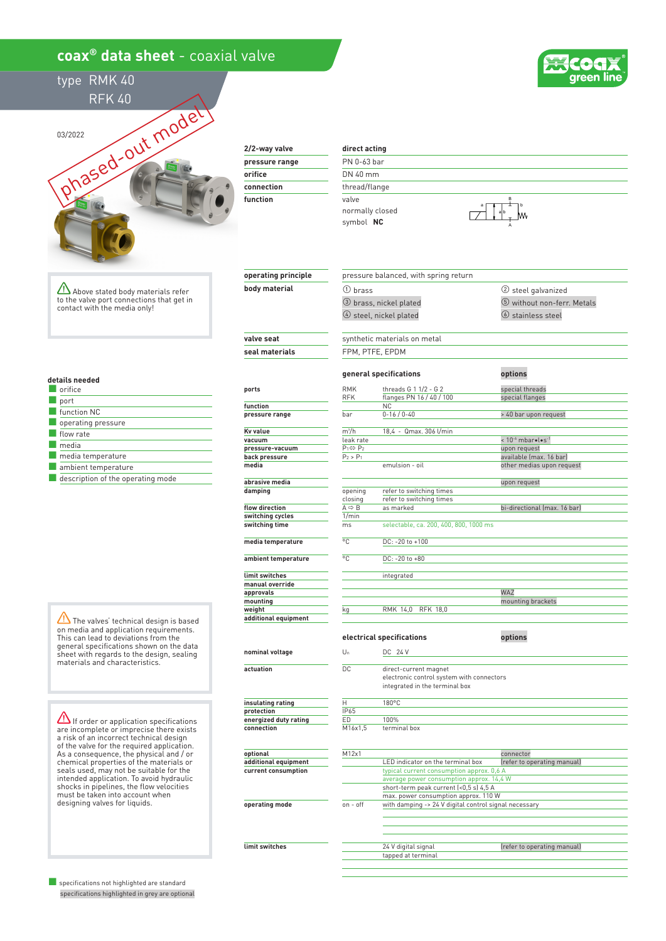## **coax® data sheet** - coaxial valve



type RMK 40 RFK 40



**2/2-way valve pressure range orifice**

| pressure range |  |
|----------------|--|
| orifice        |  |
| connection     |  |
| function       |  |
|                |  |

**operating principle body material**

**operating mode**

**limit switches**

## **direct acting** PN 0-63 bar DN 40 mm

thread/flange valve normally closed symbol  **NC**

③ brass, nickel plated

① brass

pressure balanced, with spring return



② steel galvanized ⑤ without non-ferr. Metals

Above stated body materials refer to the valve port connections that get in contact with the media only!

**details needed**

| orifice                           |
|-----------------------------------|
| port                              |
| function NC                       |
| operating pressure                |
| flow rate                         |
| media                             |
| media temperature                 |
| ambient temperature               |
| description of the operating mode |

The valves' technical design is based on media and application requirements. This can lead to deviations from the general specifications shown on the data sheet with regards to the design, sealing materials and characteristics.

 $\Delta$  If order or application specifications are incomplete or imprecise there exists a risk of an incorrect technical design of the valve for the required application. As a consequence, the physical and / or chemical properties of the materials or seals used, may not be suitable for the intended application. To avoid hydraulic shocks in pipelines, the flow velocities must be taken into account when designing valves for liquids.

■ specifications not highlighted are standard specifications highlighted in grey are optional

|                       | $(4)$ steel, nickel plated   |                                                                                                      | <b>(6)</b> stainless steel         |  |  |
|-----------------------|------------------------------|------------------------------------------------------------------------------------------------------|------------------------------------|--|--|
| valve seat            | synthetic materials on metal |                                                                                                      |                                    |  |  |
| seal materials        |                              | FPM, PTFE, EPDM                                                                                      |                                    |  |  |
|                       |                              | general specifications                                                                               | options                            |  |  |
| ports                 | <b>RMK</b><br><b>RFK</b>     | threads G 1 1/2 - G 2<br>flanges PN 16 / 40 / 100                                                    | special threads<br>special flanges |  |  |
| function              |                              | ΝC                                                                                                   |                                    |  |  |
| pressure range        | bar                          | $0 - 16 / 0 - 40$                                                                                    | > 40 bar upon request              |  |  |
| Kv value              | m <sup>3</sup> /h            | 18,4 - Qmax. 306 l/min                                                                               |                                    |  |  |
| vacuum                | leak rate                    |                                                                                                      | $< 10^{-6}$ mbarolos-1             |  |  |
| pressure-vacuum       | $P_1 \Leftrightarrow P_2$    |                                                                                                      | upon request                       |  |  |
| back pressure         | $P_2 > P_1$                  |                                                                                                      | available (max. 16 bar)            |  |  |
| media                 |                              | emulsion - oil                                                                                       | other medias upon request          |  |  |
| abrasive media        |                              |                                                                                                      | upon request                       |  |  |
| damping               | opening                      | refer to switching times                                                                             |                                    |  |  |
|                       | closing                      | refer to switching times                                                                             |                                    |  |  |
| flow direction        | $A \Leftrightarrow B$        | as marked                                                                                            | bi-directional (max. 16 bar)       |  |  |
| switching cycles      | 1/min                        |                                                                                                      |                                    |  |  |
| switching time        | ms                           | selectable, ca. 200, 400, 800, 1000 ms                                                               |                                    |  |  |
| media temperature     | °C                           | DC: -20 to +100                                                                                      |                                    |  |  |
| ambient temperature   | °C.                          | DC: -20 to +80                                                                                       |                                    |  |  |
| limit switches        |                              | integrated                                                                                           |                                    |  |  |
| manual override       |                              |                                                                                                      |                                    |  |  |
| approvals             |                              |                                                                                                      | WAZ                                |  |  |
| mounting              |                              |                                                                                                      | mounting brackets                  |  |  |
| weight                | kg                           | RMK 14,0<br>RFK 18,0                                                                                 |                                    |  |  |
| additional equipment  |                              |                                                                                                      |                                    |  |  |
|                       |                              | electrical specifications                                                                            | options                            |  |  |
| nominal voltage       | Un                           | DC 24 V                                                                                              |                                    |  |  |
| actuation             | DC                           | direct-current magnet<br>electronic control system with connectors<br>integrated in the terminal box |                                    |  |  |
| insulating rating     | Η                            | 180°C                                                                                                |                                    |  |  |
| protection            | IP65                         |                                                                                                      |                                    |  |  |
| energized duty rating | ED                           | 100%                                                                                                 |                                    |  |  |
| connection            | M16x1,5                      | terminal box                                                                                         |                                    |  |  |
|                       |                              |                                                                                                      |                                    |  |  |
| optional              | M12x1                        |                                                                                                      | connector                          |  |  |
| additional equipment  |                              | LED indicator on the terminal box                                                                    | (refer to operating manual)        |  |  |
| current consumption   |                              | typical current consumption approx. 0,6 A                                                            |                                    |  |  |
|                       |                              | average power consumption approx. 14,4 W                                                             |                                    |  |  |
|                       |                              | short-term peak current (<0,5 s) 4,5 A                                                               |                                    |  |  |
|                       |                              | max. power consumption approx. 110 W                                                                 |                                    |  |  |
| onerating mode        | on – off                     | with damning -> 2/ V digital control signal pecessary                                                |                                    |  |  |

on - off with damping -> 24 V digital control signal necessary 24 V digital signal and the feature of the feature of the operating manual) tapped at terminal